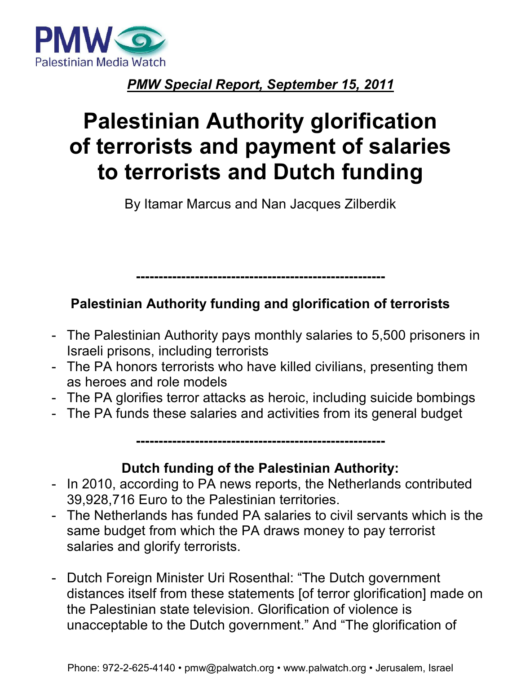

### *PMW Special Report, September 15, 2011*

# **Palestinian Authority glorification of terrorists and payment of salaries to terrorists and Dutch funding**

By Itamar Marcus and Nan Jacques Zilberdik

## **Palestinian Authority funding and glorification of terrorists**

**-------------------------------------------------------** 

- The Palestinian Authority pays monthly salaries to 5,500 prisoners in Israeli prisons, including terrorists
- The PA honors terrorists who have killed civilians, presenting them as heroes and role models
- The PA glorifies terror attacks as heroic, including suicide bombings
- The PA funds these salaries and activities from its general budget

**Dutch funding of the Palestinian Authority:** 

**-------------------------------------------------------** 

- In 2010, according to PA news reports, the Netherlands contributed 39,928,716 Euro to the Palestinian territories.
- The Netherlands has funded PA salaries to civil servants which is the same budget from which the PA draws money to pay terrorist salaries and glorify terrorists.
- Dutch Foreign Minister Uri Rosenthal: "The Dutch government distances itself from these statements [of terror glorification] made on the Palestinian state television. Glorification of violence is unacceptable to the Dutch government." And "The glorification of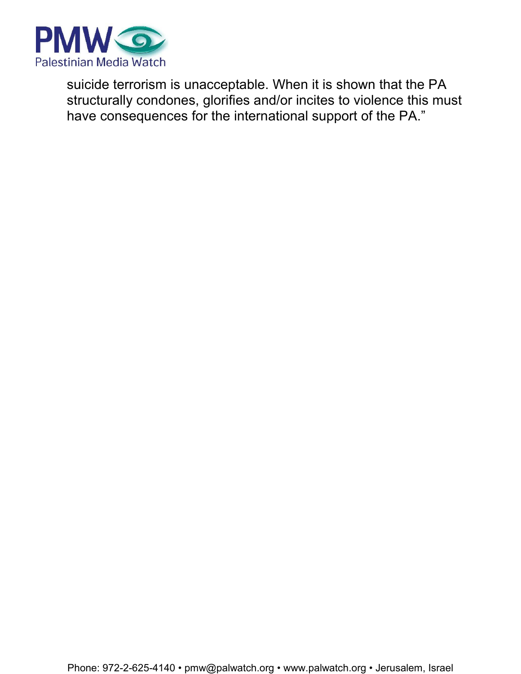

suicide terrorism is unacceptable. When it is shown that the PA structurally condones, glorifies and/or incites to violence this must have consequences for the international support of the PA."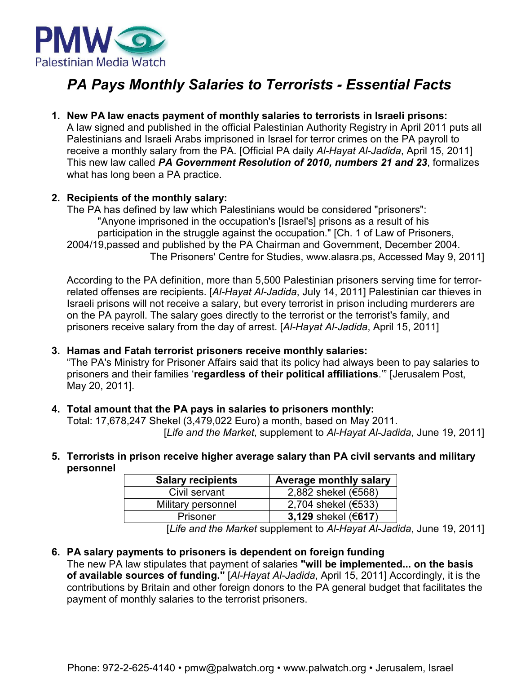

### *PA Pays Monthly Salaries to Terrorists - Essential Facts*

**1. New PA law enacts payment of monthly salaries to terrorists in Israeli prisons:** A law signed and published in the official Palestinian Authority Registry in April 2011 puts all Palestinians and Israeli Arabs imprisoned in Israel for terror crimes on the PA payroll to receive a monthly salary from the PA. [Official PA daily *Al-Hayat Al-Jadida*, April 15, 2011] This new law called *PA Government Resolution of 2010, numbers 21 and 23*, formalizes what has long been a PA practice.

#### **2. Recipients of the monthly salary:**

The PA has defined by law which Palestinians would be considered "prisoners": "Anyone imprisoned in the occupation's [Israel's] prisons as a result of his participation in the struggle against the occupation." [Ch. 1 of Law of Prisoners, 2004/19,passed and published by the PA Chairman and Government, December 2004. The Prisoners' Centre for Studies, www.alasra.ps, Accessed May 9, 2011]

According to the PA definition, more than 5,500 Palestinian prisoners serving time for terrorrelated offenses are recipients. [*Al-Hayat Al-Jadida*, July 14, 2011] Palestinian car thieves in Israeli prisons will not receive a salary, but every terrorist in prison including murderers are on the PA payroll. The salary goes directly to the terrorist or the terrorist's family, and prisoners receive salary from the day of arrest. [*Al-Hayat Al-Jadida*, April 15, 2011]

#### **3. Hamas and Fatah terrorist prisoners receive monthly salaries:**

"The PA's Ministry for Prisoner Affairs said that its policy had always been to pay salaries to prisoners and their families '**regardless of their political affiliations**.'" [Jerusalem Post, May 20, 2011].

**4. Total amount that the PA pays in salaries to prisoners monthly:** 

Total: 17,678,247 Shekel (3,479,022 Euro) a month, based on May 2011. [*Life and the Market*, supplement to *Al-Hayat Al-Jadida*, June 19, 2011]

**5. Terrorists in prison receive higher average salary than PA civil servants and military personnel** 

| <b>Salary recipients</b> | <b>Average monthly salary</b> |
|--------------------------|-------------------------------|
| Civil servant            | 2,882 shekel (€568)           |
| Military personnel       | 2,704 shekel (€533)           |
| Prisoner                 | 3,129 shekel $(617)$          |

[*Life and the Market* supplement to *Al-Hayat Al-Jadida*, June 19, 2011]

#### **6. PA salary payments to prisoners is dependent on foreign funding**

The new PA law stipulates that payment of salaries **"will be implemented... on the basis of available sources of funding."** [*Al-Hayat Al-Jadida*, April 15, 2011] Accordingly, it is the contributions by Britain and other foreign donors to the PA general budget that facilitates the payment of monthly salaries to the terrorist prisoners.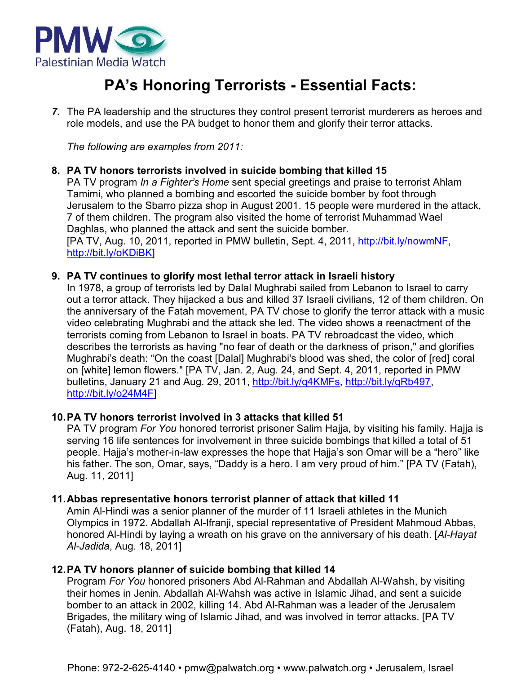

### **PA's Honoring Terrorists - Essential Facts:**

*7.* The PA leadership and the structures they control present terrorist murderers as heroes and role models, and use the PA budget to honor them and glorify their terror attacks.

*The following are examples from 2011:* 

#### **8. PA TV honors terrorists involved in suicide bombing that killed 15**

PA TV program *In a Fighter's Home* sent special greetings and praise to terrorist Ahlam Tamimi, who planned a bombing and escorted the suicide bomber by foot through Jerusalem to the Sbarro pizza shop in August 2001. 15 people were murdered in the attack, 7 of them children. The program also visited the home of terrorist Muhammad Wael Daghlas, who planned the attack and sent the suicide bomber. [PA TV, Aug. 10, 2011, reported in PMW bulletin, Sept. 4, 2011, http://bit.ly/nowmNF, http://bit.ly/oKDiBK]

#### **9. PA TV continues to glorify most lethal terror attack in Israeli history**

In 1978, a group of terrorists led by Dalal Mughrabi sailed from Lebanon to Israel to carry out a terror attack. They hijacked a bus and killed 37 Israeli civilians, 12 of them children. On the anniversary of the Fatah movement, PA TV chose to glorify the terror attack with a music video celebrating Mughrabi and the attack she led. The video shows a reenactment of the terrorists coming from Lebanon to Israel in boats. PA TV rebroadcast the video, which describes the terrorists as having "no fear of death or the darkness of prison," and glorifies Mughrabi's death: "On the coast [Dalal] Mughrabi's blood was shed, the color of [red] coral on [white] lemon flowers." [PA TV, Jan. 2, Aug. 24, and Sept. 4, 2011, reported in PMW bulletins, January 21 and Aug. 29, 2011, http://bit.ly/q4KMFs, http://bit.ly/qRb497, http://bit.ly/o24M4F]

#### **10. PA TV honors terrorist involved in 3 attacks that killed 51**

PA TV program *For You* honored terrorist prisoner Salim Hajja, by visiting his family. Hajja is serving 16 life sentences for involvement in three suicide bombings that killed a total of 51 people. Hajja's mother-in-law expresses the hope that Hajja's son Omar will be a "hero" like his father. The son, Omar, says, "Daddy is a hero. I am very proud of him." [PA TV (Fatah), Aug. 11, 2011]

#### **11. Abbas representative honors terrorist planner of attack that killed 11**

Amin Al-Hindi was a senior planner of the murder of 11 Israeli athletes in the Munich Olympics in 1972. Abdallah Al-Ifranji, special representative of President Mahmoud Abbas, honored Al-Hindi by laying a wreath on his grave on the anniversary of his death. [*Al-Hayat Al-Jadida*, Aug. 18, 2011]

#### **12. PA TV honors planner of suicide bombing that killed 14**

Program *For You* honored prisoners Abd Al-Rahman and Abdallah Al-Wahsh, by visiting their homes in Jenin. Abdallah Al-Wahsh was active in Islamic Jihad, and sent a suicide bomber to an attack in 2002, killing 14. Abd Al-Rahman was a leader of the Jerusalem Brigades, the military wing of Islamic Jihad, and was involved in terror attacks. [PA TV (Fatah), Aug. 18, 2011]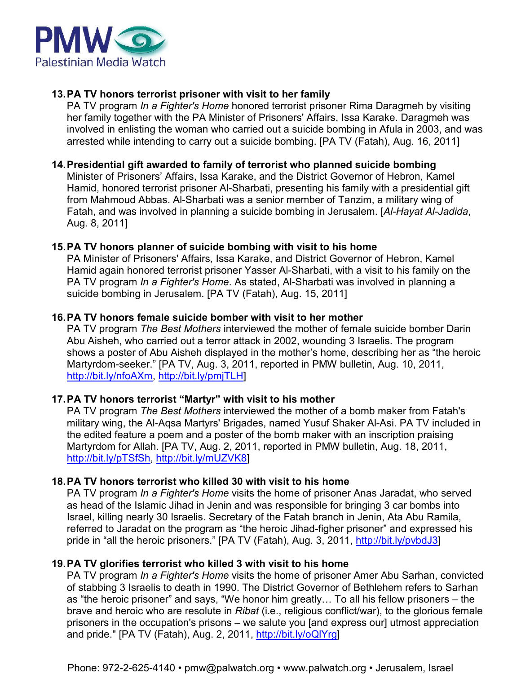

#### **13. PA TV honors terrorist prisoner with visit to her family**

PA TV program *In a Fighter's Home* honored terrorist prisoner Rima Daragmeh by visiting her family together with the PA Minister of Prisoners' Affairs, Issa Karake. Daragmeh was involved in enlisting the woman who carried out a suicide bombing in Afula in 2003, and was arrested while intending to carry out a suicide bombing. [PA TV (Fatah), Aug. 16, 2011]

#### **14. Presidential gift awarded to family of terrorist who planned suicide bombing**

Minister of Prisoners' Affairs, Issa Karake, and the District Governor of Hebron, Kamel Hamid, honored terrorist prisoner Al-Sharbati, presenting his family with a presidential gift from Mahmoud Abbas. Al-Sharbati was a senior member of Tanzim, a military wing of Fatah, and was involved in planning a suicide bombing in Jerusalem. [*Al-Hayat Al-Jadida*, Aug. 8, 2011]

#### **15. PA TV honors planner of suicide bombing with visit to his home**

PA Minister of Prisoners' Affairs, Issa Karake, and District Governor of Hebron, Kamel Hamid again honored terrorist prisoner Yasser Al-Sharbati, with a visit to his family on the PA TV program *In a Fighter's Home*. As stated, Al-Sharbati was involved in planning a suicide bombing in Jerusalem. [PA TV (Fatah), Aug. 15, 2011]

#### **16. PA TV honors female suicide bomber with visit to her mother**

PA TV program *The Best Mothers* interviewed the mother of female suicide bomber Darin Abu Aisheh, who carried out a terror attack in 2002, wounding 3 Israelis. The program shows a poster of Abu Aisheh displayed in the mother's home, describing her as "the heroic Martyrdom-seeker." [PA TV, Aug. 3, 2011, reported in PMW bulletin, Aug. 10, 2011, http://bit.ly/nfoAXm, http://bit.ly/pmjTLH]

#### **17. PA TV honors terrorist "Martyr" with visit to his mother**

PA TV program *The Best Mothers* interviewed the mother of a bomb maker from Fatah's military wing, the Al-Aqsa Martyrs' Brigades, named Yusuf Shaker Al-Asi. PA TV included in the edited feature a poem and a poster of the bomb maker with an inscription praising Martyrdom for Allah. [PA TV, Aug. 2, 2011, reported in PMW bulletin, Aug. 18, 2011, http://bit.ly/pTSfSh, http://bit.ly/mUZVK8]

#### **18. PA TV honors terrorist who killed 30 with visit to his home**

PA TV program *In a Fighter's Home* visits the home of prisoner Anas Jaradat, who served as head of the Islamic Jihad in Jenin and was responsible for bringing 3 car bombs into Israel, killing nearly 30 Israelis. Secretary of the Fatah branch in Jenin, Ata Abu Ramila, referred to Jaradat on the program as "the heroic Jihad-figher prisoner" and expressed his pride in "all the heroic prisoners." [PA TV (Fatah), Aug. 3, 2011, http://bit.ly/pvbdJ3]

#### **19. PA TV glorifies terrorist who killed 3 with visit to his home**

PA TV program *In a Fighter's Home* visits the home of prisoner Amer Abu Sarhan, convicted of stabbing 3 Israelis to death in 1990. The District Governor of Bethlehem refers to Sarhan as "the heroic prisoner" and says, "We honor him greatly… To all his fellow prisoners – the brave and heroic who are resolute in *Ribat* (i.e., religious conflict/war), to the glorious female prisoners in the occupation's prisons – we salute you [and express our] utmost appreciation and pride." [PA TV (Fatah), Aug. 2, 2011, http://bit.ly/oQlYrg]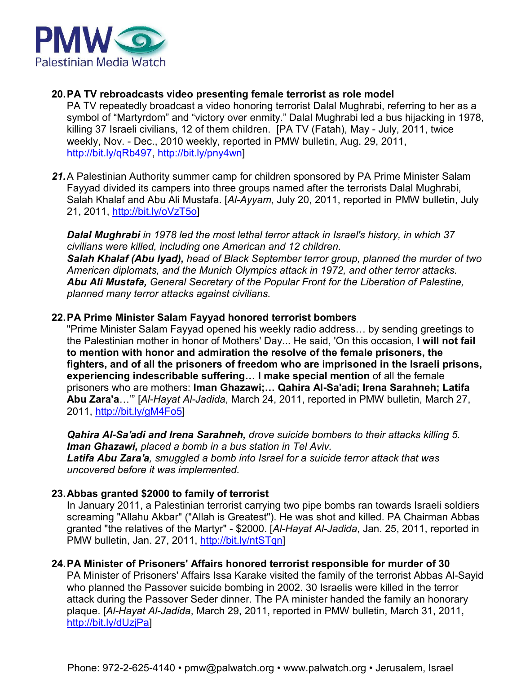

#### **20. PA TV rebroadcasts video presenting female terrorist as role model**

PA TV repeatedly broadcast a video honoring terrorist Dalal Mughrabi, referring to her as a symbol of "Martyrdom" and "victory over enmity." Dalal Mughrabi led a bus hijacking in 1978, killing 37 Israeli civilians, 12 of them children. [PA TV (Fatah), May - July, 2011, twice weekly, Nov. - Dec., 2010 weekly, reported in PMW bulletin, Aug. 29, 2011, http://bit.ly/qRb497, http://bit.ly/pny4wn]

21. A Palestinian Authority summer camp for children sponsored by PA Prime Minister Salam Fayyad divided its campers into three groups named after the terrorists Dalal Mughrabi, Salah Khalaf and Abu Ali Mustafa. [*Al-Ayyam*, July 20, 2011, reported in PMW bulletin, July 21, 2011, http://bit.ly/oVzT5o]

*Dalal Mughrabi in 1978 led the most lethal terror attack in Israel's history, in which 37 civilians were killed, including one American and 12 children. Salah Khalaf (Abu Iyad), head of Black September terror group, planned the murder of two American diplomats, and the Munich Olympics attack in 1972, and other terror attacks. Abu Ali Mustafa, General Secretary of the Popular Front for the Liberation of Palestine, planned many terror attacks against civilians.* 

#### **22. PA Prime Minister Salam Fayyad honored terrorist bombers**

"Prime Minister Salam Fayyad opened his weekly radio address… by sending greetings to the Palestinian mother in honor of Mothers' Day... He said, 'On this occasion, **I will not fail to mention with honor and admiration the resolve of the female prisoners, the fighters, and of all the prisoners of freedom who are imprisoned in the Israeli prisons, experiencing indescribable suffering… I make special mention** of all the female prisoners who are mothers: **Iman Ghazawi;… Qahira Al-Sa'adi; Irena Sarahneh; Latifa Abu Zara'a**…'" [*Al-Hayat Al-Jadida*, March 24, 2011, reported in PMW bulletin, March 27, 2011, http://bit.ly/gM4Fo5]

*Qahira Al-Sa'adi and Irena Sarahneh, drove suicide bombers to their attacks killing 5. Iman Ghazawi, placed a bomb in a bus station in Tel Aviv. Latifa Abu Zara'a, smuggled a bomb into Israel for a suicide terror attack that was uncovered before it was implemented*.

#### **23. Abbas granted \$2000 to family of terrorist**

In January 2011, a Palestinian terrorist carrying two pipe bombs ran towards Israeli soldiers screaming "Allahu Akbar" ("Allah is Greatest"). He was shot and killed. PA Chairman Abbas granted "the relatives of the Martyr" - \$2000. [*Al-Hayat Al-Jadida*, Jan. 25, 2011, reported in PMW bulletin, Jan. 27, 2011, http://bit.ly/ntSTqn]

#### **24. PA Minister of Prisoners' Affairs honored terrorist responsible for murder of 30**

PA Minister of Prisoners' Affairs Issa Karake visited the family of the terrorist Abbas Al-Sayid who planned the Passover suicide bombing in 2002. 30 Israelis were killed in the terror attack during the Passover Seder dinner. The PA minister handed the family an honorary plaque. [*Al-Hayat Al-Jadida*, March 29, 2011, reported in PMW bulletin, March 31, 2011, http://bit.ly/dUzjPa]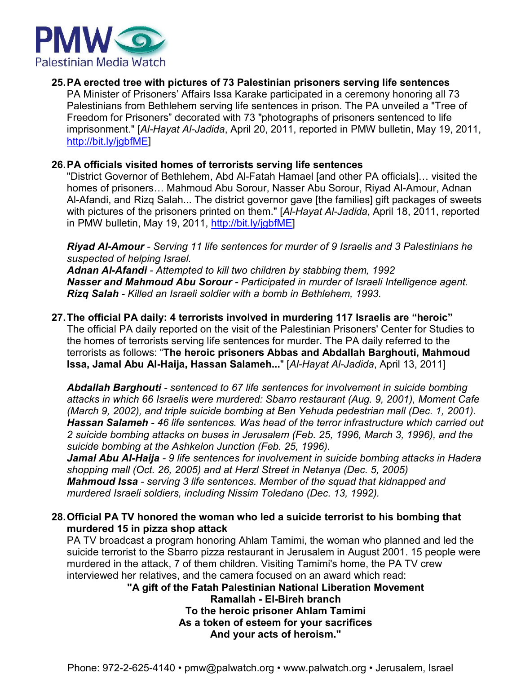

#### **25.PA erected tree with pictures of 73 Palestinian prisoners serving life sentences**

PA Minister of Prisoners' Affairs Issa Karake participated in a ceremony honoring all 73 Palestinians from Bethlehem serving life sentences in prison. The PA unveiled a "Tree of Freedom for Prisoners" decorated with 73 "photographs of prisoners sentenced to life imprisonment." [*Al-Hayat Al-Jadida*, April 20, 2011, reported in PMW bulletin, May 19, 2011, http://bit.ly/jgbfME]

#### **26.PA officials visited homes of terrorists serving life sentences**

"District Governor of Bethlehem, Abd Al-Fatah Hamael [and other PA officials]… visited the homes of prisoners… Mahmoud Abu Sorour, Nasser Abu Sorour, Riyad Al-Amour, Adnan Al-Afandi, and Rizq Salah... The district governor gave [the families] gift packages of sweets with pictures of the prisoners printed on them." [*Al-Hayat Al-Jadida*, April 18, 2011, reported in PMW bulletin, May 19, 2011, http://bit.ly/jgbfME]

*Riyad Al-Amour - Serving 11 life sentences for murder of 9 Israelis and 3 Palestinians he suspected of helping Israel.*

*Adnan Al-Afandi - Attempted to kill two children by stabbing them, 1992 Nasser and Mahmoud Abu Sorour - Participated in murder of Israeli Intelligence agent. Rizq Salah - Killed an Israeli soldier with a bomb in Bethlehem, 1993.*

#### **27.The official PA daily: 4 terrorists involved in murdering 117 Israelis are "heroic"**

The official PA daily reported on the visit of the Palestinian Prisoners' Center for Studies to the homes of terrorists serving life sentences for murder. The PA daily referred to the terrorists as follows: "**The heroic prisoners Abbas and Abdallah Barghouti, Mahmoud Issa, Jamal Abu Al-Haija, Hassan Salameh...**" [*Al-Hayat Al-Jadida*, April 13, 2011]

*Abdallah Barghouti - sentenced to 67 life sentences for involvement in suicide bombing attacks in which 66 Israelis were murdered: Sbarro restaurant (Aug. 9, 2001), Moment Cafe (March 9, 2002), and triple suicide bombing at Ben Yehuda pedestrian mall (Dec. 1, 2001). 2 suicide bombing attacks on buses in Jerusalem (Feb. 25, 1996, March 3, 1996), and the suicide bombing at the Ashkelon Junction (Feb. 25, 1996). Hassan Salameh - 46 life sentences. Was head of the terror infrastructure which carried out*

*Jamal Abu Al-Haija - 9 life sentences for involvement in suicide bombing attacks in Hadera shopping mall (Oct. 26, 2005) and at Herzl Street in Netanya (Dec. 5, 2005) Mahmoud Issa - serving 3 life sentences. Member of the squad that kidnapped and murdered Israeli soldiers, including Nissim Toledano (Dec. 13, 1992).*

#### **28.Official PA TV honored the woman who led a suicide terrorist to his bombing that murdered 15 in pizza shop attack**

PA TV broadcast a program honoring Ahlam Tamimi, the woman who planned and led the suicide terrorist to the Sbarro pizza restaurant in Jerusalem in August 2001. 15 people were murdered in the attack, 7 of them children. Visiting Tamimi's home, the PA TV crew interviewed her relatives, and the camera focused on an award which read:

**"A gift of the Fatah Palestinian National Liberation Movement Ramallah - El-Bireh branch To the heroic prisoner Ahlam Tamimi As a token of esteem for your sacrifices And your acts of heroism."**

Phone: 972-2-625-4140 • pmw@palwatch.org • www.palwatch.org • Jerusalem, Israel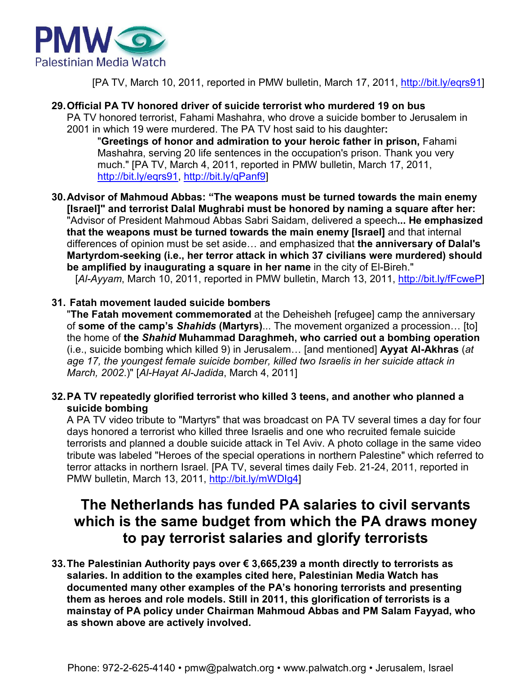

[PA TV, March 10, 2011, reported in PMW bulletin, March 17, 2011, http://bit.ly/eqrs91]

**29. Official PA TV honored driver of suicide terrorist who murdered 19 on bus** 

PA TV honored terrorist, Fahami Mashahra, who drove a suicide bomber to Jerusalem in 2001 in which 19 were murdered. The PA TV host said to his daughter**:**

"**Greetings of honor and admiration to your heroic father in prison,** Fahami Mashahra, serving 20 life sentences in the occupation's prison. Thank you very much." [PA TV, March 4, 2011, reported in PMW bulletin, March 17, 2011, http://bit.ly/eqrs91, http://bit.ly/qPanf9]

**30. Advisor of Mahmoud Abbas: "The weapons must be turned towards the main enemy [Israel]" and terrorist Dalal Mughrabi must be honored by naming a square after her:** "Advisor of President Mahmoud Abbas Sabri Saidam, delivered a speech**... He emphasized that the weapons must be turned towards the main enemy [Israel]** and that internal differences of opinion must be set aside… and emphasized that **the anniversary of Dalal's Martyrdom-seeking (i.e., her terror attack in which 37 civilians were murdered) should be amplified by inaugurating a square in her name** in the city of El-Bireh."

[*Al-Ayyam*, March 10, 2011, reported in PMW bulletin, March 13, 2011, http://bit.ly/fFcweP]

#### **31. Fatah movement lauded suicide bombers**

"**The Fatah movement commemorated** at the Deheisheh [refugee] camp the anniversary of **some of the camp's** *Shahids* **(Martyrs)**... The movement organized a procession… [to] the home of **the** *Shahid* **Muhammad Daraghmeh, who carried out a bombing operation** (i.e., suicide bombing which killed 9) in Jerusalem… [and mentioned] **Ayyat Al-Akhras** (*at age 17, the youngest female suicide bomber, killed two Israelis in her suicide attack in March, 2002*.)" [*Al-Hayat Al-Jadida*, March 4, 2011]

#### **32. PA TV repeatedly glorified terrorist who killed 3 teens, and another who planned a suicide bombing**

A PA TV video tribute to "Martyrs" that was broadcast on PA TV several times a day for four days honored a terrorist who killed three Israelis and one who recruited female suicide terrorists and planned a double suicide attack in Tel Aviv. A photo collage in the same video tribute was labeled "Heroes of the special operations in northern Palestine" which referred to terror attacks in northern Israel. [PA TV, several times daily Feb. 21-24, 2011, reported in PMW bulletin, March 13, 2011, http://bit.ly/mWDIg4]

### **The Netherlands has funded PA salaries to civil servants which is the same budget from which the PA draws money to pay terrorist salaries and glorify terrorists**

**33. The Palestinian Authority pays over € 3,665,239 a month directly to terrorists as salaries. In addition to the examples cited here, Palestinian Media Watch has documented many other examples of the PA's honoring terrorists and presenting them as heroes and role models. Still in 2011, this glorification of terrorists is a mainstay of PA policy under Chairman Mahmoud Abbas and PM Salam Fayyad, who as shown above are actively involved.**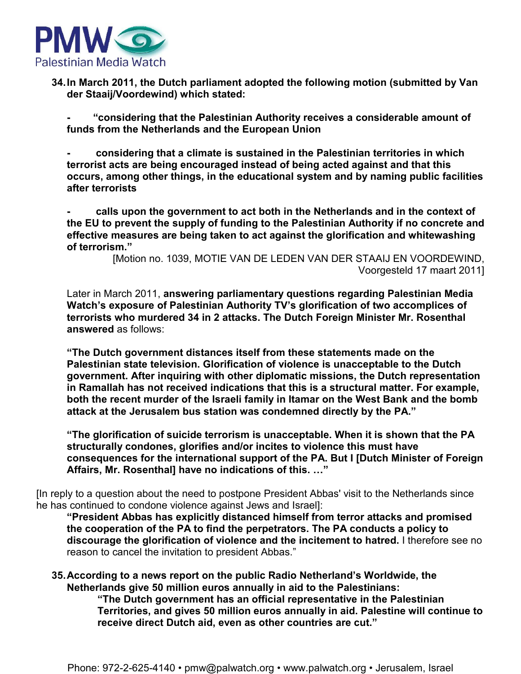

**34. In March 2011, the Dutch parliament adopted the following motion (submitted by Van der Staaij/Voordewind) which stated:** 

**- "considering that the Palestinian Authority receives a considerable amount of funds from the Netherlands and the European Union** 

**- considering that a climate is sustained in the Palestinian territories in which terrorist acts are being encouraged instead of being acted against and that this occurs, among other things, in the educational system and by naming public facilities after terrorists** 

**- calls upon the government to act both in the Netherlands and in the context of the EU to prevent the supply of funding to the Palestinian Authority if no concrete and effective measures are being taken to act against the glorification and whitewashing of terrorism."** 

> [Motion no. 1039, MOTIE VAN DE LEDEN VAN DER STAAIJ EN VOORDEWIND, Voorgesteld 17 maart 2011]

Later in March 2011, **answering parliamentary questions regarding Palestinian Media Watch's exposure of Palestinian Authority TV's glorification of two accomplices of terrorists who murdered 34 in 2 attacks. The Dutch Foreign Minister Mr. Rosenthal answered** as follows:

**"The Dutch government distances itself from these statements made on the Palestinian state television. Glorification of violence is unacceptable to the Dutch government. After inquiring with other diplomatic missions, the Dutch representation in Ramallah has not received indications that this is a structural matter. For example, both the recent murder of the Israeli family in Itamar on the West Bank and the bomb attack at the Jerusalem bus station was condemned directly by the PA."** 

**"The glorification of suicide terrorism is unacceptable. When it is shown that the PA structurally condones, glorifies and/or incites to violence this must have consequences for the international support of the PA. But I [Dutch Minister of Foreign Affairs, Mr. Rosenthal] have no indications of this. …"** 

[In reply to a question about the need to postpone President Abbas' visit to the Netherlands since he has continued to condone violence against Jews and Israel]:

**"President Abbas has explicitly distanced himself from terror attacks and promised the cooperation of the PA to find the perpetrators. The PA conducts a policy to discourage the glorification of violence and the incitement to hatred.** I therefore see no reason to cancel the invitation to president Abbas."

**35. According to a news report on the public Radio Netherland's Worldwide, the Netherlands give 50 million euros annually in aid to the Palestinians:** 

**"The Dutch government has an official representative in the Palestinian Territories, and gives 50 million euros annually in aid. Palestine will continue to receive direct Dutch aid, even as other countries are cut."**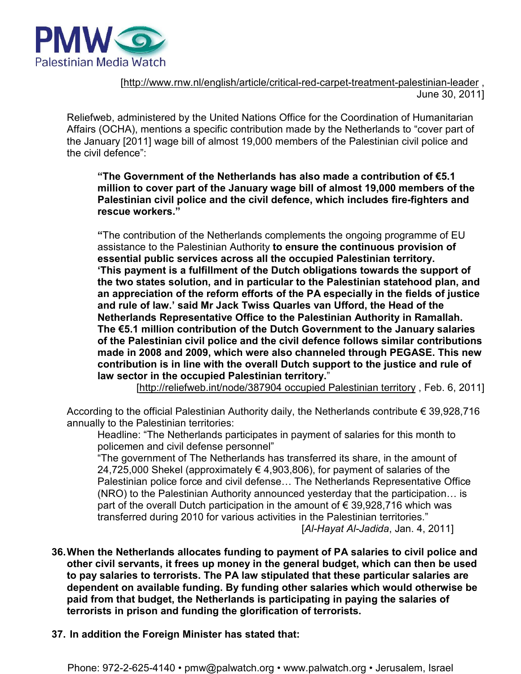

[http://www.rnw.nl/english/article/critical-red-carpet-treatment-palestinian-leader , June 30, 2011]

Reliefweb, administered by the United Nations Office for the Coordination of Humanitarian Affairs (OCHA), mentions a specific contribution made by the Netherlands to "cover part of the January [2011] wage bill of almost 19,000 members of the Palestinian civil police and the civil defence":

**"The Government of the Netherlands has also made a contribution of €5.1 million to cover part of the January wage bill of almost 19,000 members of the Palestinian civil police and the civil defence, which includes fire-fighters and rescue workers."** 

**"**The contribution of the Netherlands complements the ongoing programme of EU assistance to the Palestinian Authority **to ensure the continuous provision of essential public services across all the occupied Palestinian territory. 'This payment is a fulfillment of the Dutch obligations towards the support of the two states solution, and in particular to the Palestinian statehood plan, and an appreciation of the reform efforts of the PA especially in the fields of justice and rule of law.' said Mr Jack Twiss Quarles van Ufford, the Head of the Netherlands Representative Office to the Palestinian Authority in Ramallah. The €5.1 million contribution of the Dutch Government to the January salaries of the Palestinian civil police and the civil defence follows similar contributions made in 2008 and 2009, which were also channeled through PEGASE. This new contribution is in line with the overall Dutch support to the justice and rule of law sector in the occupied Palestinian territory.**"

[http://reliefweb.int/node/387904 occupied Palestinian territory , Feb. 6, 2011]

According to the official Palestinian Authority daily, the Netherlands contribute € 39,928,716 annually to the Palestinian territories:

Headline: "The Netherlands participates in payment of salaries for this month to policemen and civil defense personnel"

"The government of The Netherlands has transferred its share, in the amount of 24,725,000 Shekel (approximately € 4,903,806), for payment of salaries of the Palestinian police force and civil defense… The Netherlands Representative Office (NRO) to the Palestinian Authority announced yesterday that the participation… is part of the overall Dutch participation in the amount of  $\epsilon$  39,928,716 which was transferred during 2010 for various activities in the Palestinian territories."

[Al-Hayat Al-Jadida, Jan. 4, 2011]

- **36. When the Netherlands allocates funding to payment of PA salaries to civil police and other civil servants, it frees up money in the general budget, which can then be used to pay salaries to terrorists. The PA law stipulated that these particular salaries are dependent on available funding. By funding other salaries which would otherwise be paid from that budget, the Netherlands is participating in paying the salaries of terrorists in prison and funding the glorification of terrorists.**
- **37. In addition the Foreign Minister has stated that:**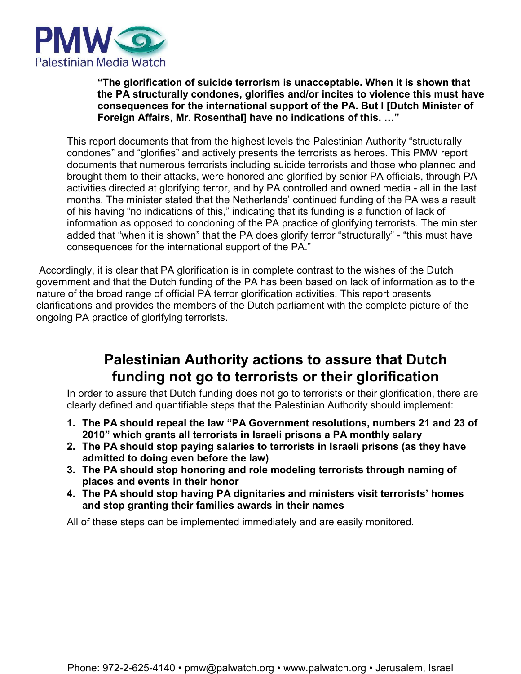

**"The glorification of suicide terrorism is unacceptable. When it is shown that the PA structurally condones, glorifies and/or incites to violence this must have consequences for the international support of the PA. But I [Dutch Minister of Foreign Affairs, Mr. Rosenthal] have no indications of this. …"** 

This report documents that from the highest levels the Palestinian Authority "structurally condones" and "glorifies" and actively presents the terrorists as heroes. This PMW report documents that numerous terrorists including suicide terrorists and those who planned and brought them to their attacks, were honored and glorified by senior PA officials, through PA activities directed at glorifying terror, and by PA controlled and owned media - all in the last months. The minister stated that the Netherlands' continued funding of the PA was a result of his having "no indications of this," indicating that its funding is a function of lack of information as opposed to condoning of the PA practice of glorifying terrorists. The minister added that "when it is shown" that the PA does glorify terror "structurally" - "this must have consequences for the international support of the PA."

 Accordingly, it is clear that PA glorification is in complete contrast to the wishes of the Dutch government and that the Dutch funding of the PA has been based on lack of information as to the nature of the broad range of official PA terror glorification activities. This report presents clarifications and provides the members of the Dutch parliament with the complete picture of the ongoing PA practice of glorifying terrorists.

### **Palestinian Authority actions to assure that Dutch funding not go to terrorists or their glorification**

In order to assure that Dutch funding does not go to terrorists or their glorification, there are clearly defined and quantifiable steps that the Palestinian Authority should implement:

- **1. The PA should repeal the law "PA Government resolutions, numbers 21 and 23 of 2010" which grants all terrorists in Israeli prisons a PA monthly salary**
- **2. The PA should stop paying salaries to terrorists in Israeli prisons (as they have admitted to doing even before the law)**
- **3. The PA should stop honoring and role modeling terrorists through naming of places and events in their honor**
- **4. The PA should stop having PA dignitaries and ministers visit terrorists' homes and stop granting their families awards in their names**

All of these steps can be implemented immediately and are easily monitored.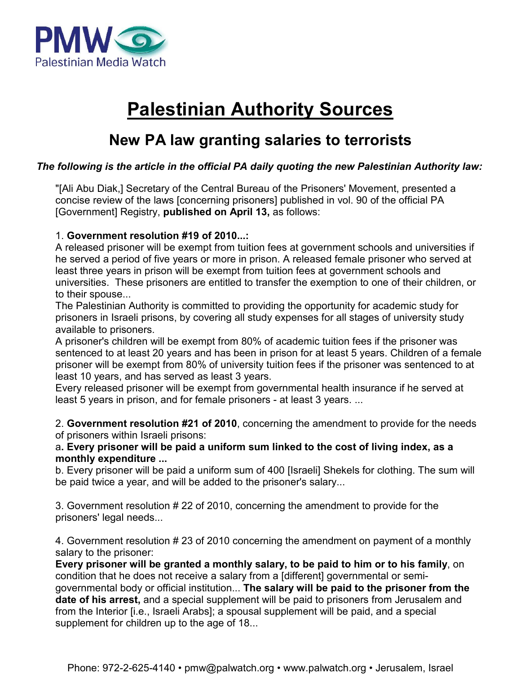

## **Palestinian Authority Sources**

### **New PA law granting salaries to terrorists**

#### *The following is the article in the official PA daily quoting the new Palestinian Authority law:*

"[Ali Abu Diak,] Secretary of the Central Bureau of the Prisoners' Movement, presented a concise review of the laws [concerning prisoners] published in vol. 90 of the official PA [Government] Registry, **published on April 13,** as follows:

#### 1. **Government resolution #19 of 2010...:**

A released prisoner will be exempt from tuition fees at government schools and universities if he served a period of five years or more in prison. A released female prisoner who served at least three years in prison will be exempt from tuition fees at government schools and universities. These prisoners are entitled to transfer the exemption to one of their children, or to their spouse...

The Palestinian Authority is committed to providing the opportunity for academic study for prisoners in Israeli prisons, by covering all study expenses for all stages of university study available to prisoners.

A prisoner's children will be exempt from 80% of academic tuition fees if the prisoner was sentenced to at least 20 years and has been in prison for at least 5 years. Children of a female prisoner will be exempt from 80% of university tuition fees if the prisoner was sentenced to at least 10 years, and has served as least 3 years.

Every released prisoner will be exempt from governmental health insurance if he served at least 5 years in prison, and for female prisoners - at least 3 years. ...

2. **Government resolution #21 of 2010**, concerning the amendment to provide for the needs of prisoners within Israeli prisons:

a**. Every prisoner will be paid a uniform sum linked to the cost of living index, as a monthly expenditure ...** 

b. Every prisoner will be paid a uniform sum of 400 [Israeli] Shekels for clothing. The sum will be paid twice a year, and will be added to the prisoner's salary...

3. Government resolution # 22 of 2010, concerning the amendment to provide for the prisoners' legal needs...

4. Government resolution # 23 of 2010 concerning the amendment on payment of a monthly salary to the prisoner:

**Every prisoner will be granted a monthly salary, to be paid to him or to his family**, on condition that he does not receive a salary from a [different] governmental or semigovernmental body or official institution... **The salary will be paid to the prisoner from the date of his arrest,** and a special supplement will be paid to prisoners from Jerusalem and from the Interior [i.e., Israeli Arabs]; a spousal supplement will be paid, and a special supplement for children up to the age of 18...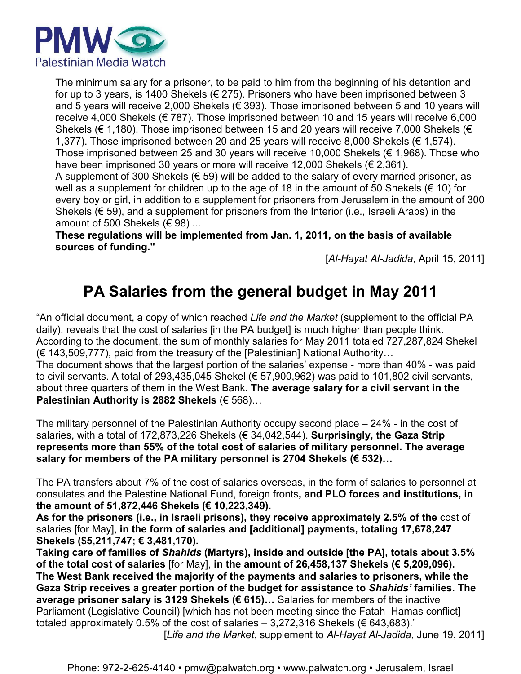

The minimum salary for a prisoner, to be paid to him from the beginning of his detention and for up to 3 years, is 1400 Shekels ( $\epsilon$  275). Prisoners who have been imprisoned between 3 and 5 years will receive 2,000 Shekels ( $\epsilon$  393). Those imprisoned between 5 and 10 years will receive 4,000 Shekels ( $\epsilon$  787). Those imprisoned between 10 and 15 years will receive 6,000 Shekels ( $\epsilon$  1,180). Those imprisoned between 15 and 20 years will receive 7,000 Shekels ( $\epsilon$ 1,377). Those imprisoned between 20 and 25 years will receive 8,000 Shekels ( $\epsilon$  1,574). Those imprisoned between 25 and 30 years will receive 10,000 Shekels ( $\epsilon$  1,968). Those who have been imprisoned 30 years or more will receive 12,000 Shekels (€ 2,361). A supplement of 300 Shekels ( $\epsilon$  59) will be added to the salary of every married prisoner, as well as a supplement for children up to the age of 18 in the amount of 50 Shekels ( $\in$  10) for every boy or girl, in addition to a supplement for prisoners from Jerusalem in the amount of 300 Shekels ( $\epsilon$  59), and a supplement for prisoners from the Interior (i.e., Israeli Arabs) in the amount of 500 Shekels ( $\in$  98) ...

**These regulations will be implemented from Jan. 1, 2011, on the basis of available sources of funding."** 

[*Al-Hayat Al-Jadida*, April 15, 2011]

### **PA Salaries from the general budget in May 2011**

"An official document, a copy of which reached *Life and the Market* (supplement to the official PA daily), reveals that the cost of salaries [in the PA budget] is much higher than people think. According to the document, the sum of monthly salaries for May 2011 totaled 727,287,824 Shekel  $(E 143,509,777)$ , paid from the treasury of the [Palestinian] National Authority... The document shows that the largest portion of the salaries' expense - more than 40% - was paid to civil servants. A total of 293,435,045 Shekel (€ 57,900,962) was paid to 101,802 civil servants, about three quarters of them in the West Bank. **The average salary for a civil servant in the Palestinian Authority is 2882 Shekels** (€ 568)…

The military personnel of the Palestinian Authority occupy second place – 24% - in the cost of salaries, with a total of 172,873,226 Shekels (€ 34,042,544). **Surprisingly, the Gaza Strip represents more than 55% of the total cost of salaries of military personnel. The average salary for members of the PA military personnel is 2704 Shekels (€ 532)…** 

The PA transfers about 7% of the cost of salaries overseas, in the form of salaries to personnel at consulates and the Palestine National Fund, foreign fronts**, and PLO forces and institutions, in the amount of 51,872,446 Shekels (€ 10,223,349).** 

**As for the prisoners (i.e., in Israeli prisons), they receive approximately 2.5% of the** cost of salaries [for May], **in the form of salaries and [additional] payments, totaling 17,678,247 Shekels (\$5,211,747; € 3,481,170).** 

**Taking care of families of** *Shahids* **(Martyrs), inside and outside [the PA], totals about 3.5% of the total cost of salaries** [for May], **in the amount of 26,458,137 Shekels (€ 5,209,096). The West Bank received the majority of the payments and salaries to prisoners, while the Gaza Strip receives a greater portion of the budget for assistance to** *Shahids'* **families. The average prisoner salary is 3129 Shekels (€ 615)…** Salaries for members of the inactive Parliament (Legislative Council) [which has not been meeting since the Fatah–Hamas conflict] totaled approximately 0.5% of the cost of salaries  $-3,272,316$  Shekels ( $\in 643,683$ )." [*Life and the Market*, supplement to *Al-Hayat Al-Jadida*, June 19, 2011]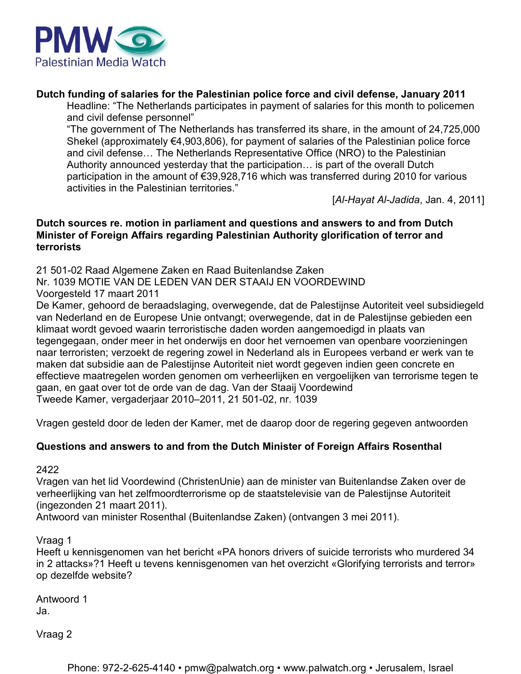

#### **Dutch funding of salaries for the Palestinian police force and civil defense, January 2011**

Headline: "The Netherlands participates in payment of salaries for this month to policemen and civil defense personnel"

"The government of The Netherlands has transferred its share, in the amount of 24,725,000 Shekel (approximately €4,903,806), for payment of salaries of the Palestinian police force and civil defense… The Netherlands Representative Office (NRO) to the Palestinian Authority announced yesterday that the participation… is part of the overall Dutch participation in the amount of €39,928,716 which was transferred during 2010 for various activities in the Palestinian territories."

[*Al-Hayat Al-Jadida*, Jan. 4, 2011]

#### **Dutch sources re. motion in parliament and questions and answers to and from Dutch Minister of Foreign Affairs regarding Palestinian Authority glorification of terror and terrorists**

21 501-02 Raad Algemene Zaken en Raad Buitenlandse Zaken Nr. 1039 MOTIE VAN DE LEDEN VAN DER STAAIJ EN VOORDEWIND Voorgesteld 17 maart 2011

De Kamer, gehoord de beraadslaging, overwegende, dat de Palestijnse Autoriteit veel subsidiegeld van Nederland en de Europese Unie ontvangt; overwegende, dat in de Palestijnse gebieden een klimaat wordt gevoed waarin terroristische daden worden aangemoedigd in plaats van tegengegaan, onder meer in het onderwijs en door het vernoemen van openbare voorzieningen naar terroristen; verzoekt de regering zowel in Nederland als in Europees verband er werk van te maken dat subsidie aan de Palestijnse Autoriteit niet wordt gegeven indien geen concrete en effectieve maatregelen worden genomen om verheerlijken en vergoelijken van terrorisme tegen te gaan, en gaat over tot de orde van de dag. Van der Staaij Voordewind Tweede Kamer, vergaderjaar 2010–2011, 21 501-02, nr. 1039

Vragen gesteld door de leden der Kamer, met de daarop door de regering gegeven antwoorden

#### **Questions and answers to and from the Dutch Minister of Foreign Affairs Rosenthal**

2422

Vragen van het lid Voordewind (ChristenUnie) aan de minister van Buitenlandse Zaken over de verheerlijking van het zelfmoordterrorisme op de staatstelevisie van de Palestijnse Autoriteit (ingezonden 21 maart 2011).

Antwoord van minister Rosenthal (Buitenlandse Zaken) (ontvangen 3 mei 2011).

Vraag 1

Heeft u kennisgenomen van het bericht «PA honors drivers of suicide terrorists who murdered 34 in 2 attacks»?1 Heeft u tevens kennisgenomen van het overzicht «Glorifying terrorists and terror» op dezelfde website?

Antwoord 1 Ja.

Vraag 2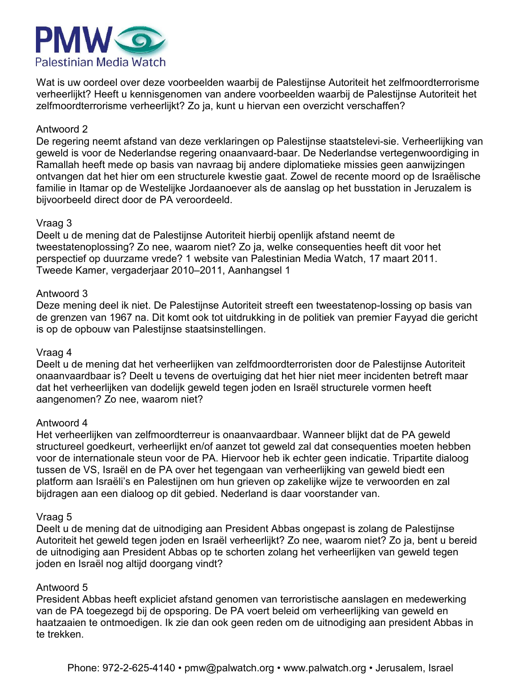

Wat is uw oordeel over deze voorbeelden waarbij de Palestijnse Autoriteit het zelfmoordterrorisme verheerlijkt? Heeft u kennisgenomen van andere voorbeelden waarbij de Palestijnse Autoriteit het zelfmoordterrorisme verheerlijkt? Zo ja, kunt u hiervan een overzicht verschaffen?

#### Antwoord 2

De regering neemt afstand van deze verklaringen op Palestijnse staatstelevi-sie. Verheerlijking van geweld is voor de Nederlandse regering onaanvaard-baar. De Nederlandse vertegenwoordiging in Ramallah heeft mede op basis van navraag bij andere diplomatieke missies geen aanwijzingen ontvangen dat het hier om een structurele kwestie gaat. Zowel de recente moord op de Israëlische familie in Itamar op de Westelijke Jordaanoever als de aanslag op het busstation in Jeruzalem is bijvoorbeeld direct door de PA veroordeeld.

#### Vraag 3

Deelt u de mening dat de Palestijnse Autoriteit hierbij openlijk afstand neemt de tweestatenoplossing? Zo nee, waarom niet? Zo ja, welke consequenties heeft dit voor het perspectief op duurzame vrede? 1 website van Palestinian Media Watch, 17 maart 2011. Tweede Kamer, vergaderjaar 2010–2011, Aanhangsel 1

#### Antwoord 3

Deze mening deel ik niet. De Palestijnse Autoriteit streeft een tweestatenop-lossing op basis van de grenzen van 1967 na. Dit komt ook tot uitdrukking in de politiek van premier Fayyad die gericht is op de opbouw van Palestijnse staatsinstellingen.

#### Vraag 4

Deelt u de mening dat het verheerlijken van zelfdmoordterroristen door de Palestijnse Autoriteit onaanvaardbaar is? Deelt u tevens de overtuiging dat het hier niet meer incidenten betreft maar dat het verheerlijken van dodelijk geweld tegen joden en Israël structurele vormen heeft aangenomen? Zo nee, waarom niet?

#### Antwoord 4

Het verheerlijken van zelfmoordterreur is onaanvaardbaar. Wanneer blijkt dat de PA geweld structureel goedkeurt, verheerlijkt en/of aanzet tot geweld zal dat consequenties moeten hebben voor de internationale steun voor de PA. Hiervoor heb ik echter geen indicatie. Tripartite dialoog tussen de VS, Israël en de PA over het tegengaan van verheerlijking van geweld biedt een platform aan Israëli's en Palestijnen om hun grieven op zakelijke wijze te verwoorden en zal bijdragen aan een dialoog op dit gebied. Nederland is daar voorstander van.

#### Vraag 5

Deelt u de mening dat de uitnodiging aan President Abbas ongepast is zolang de Palestijnse Autoriteit het geweld tegen joden en Israël verheerlijkt? Zo nee, waarom niet? Zo ja, bent u bereid de uitnodiging aan President Abbas op te schorten zolang het verheerlijken van geweld tegen joden en Israël nog altijd doorgang vindt?

#### Antwoord 5

President Abbas heeft expliciet afstand genomen van terroristische aanslagen en medewerking van de PA toegezegd bij de opsporing. De PA voert beleid om verheerlijking van geweld en haatzaaien te ontmoedigen. Ik zie dan ook geen reden om de uitnodiging aan president Abbas in te trekken.